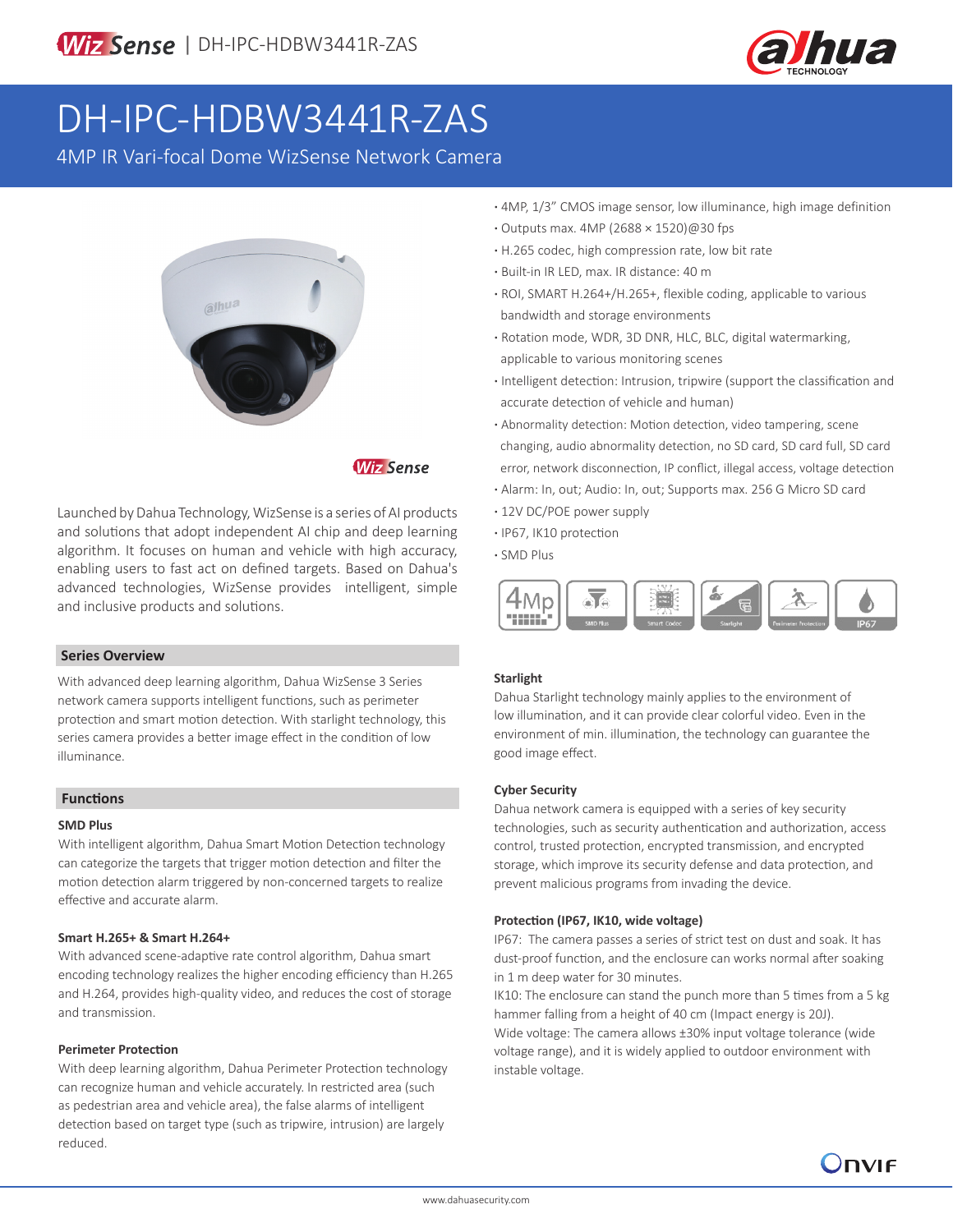

# DH-IPC-HDBW3441R-ZAS

4MP IR Vari-focal Dome WizSense Network Camera



# **Wiz Sense**

Launched by Dahua Technology, WizSense is a series of AI products and solutions that adopt independent AI chip and deep learning algorithm. It focuses on human and vehicle with high accuracy, enabling users to fast act on defined targets. Based on Dahua's advanced technologies, WizSense provides intelligent, simple and inclusive products and solutions.

#### **Series Overview**

With advanced deep learning algorithm, Dahua WizSense 3 Series network camera supports intelligent functions, such as perimeter protection and smart motion detection. With starlight technology, this series camera provides a better image effect in the condition of low illuminance.

#### **Functions**

#### **SMD Plus**

With intelligent algorithm, Dahua Smart Motion Detection technology can categorize the targets that trigger motion detection and filter the motion detection alarm triggered by non-concerned targets to realize effective and accurate alarm.

#### **Smart H.265+ & Smart H.264+**

With advanced scene-adaptive rate control algorithm, Dahua smart encoding technology realizes the higher encoding efficiency than H.265 and H.264, provides high-quality video, and reduces the cost of storage and transmission.

#### **Perimeter Protection**

With deep learning algorithm, Dahua Perimeter Protection technology can recognize human and vehicle accurately. In restricted area (such as pedestrian area and vehicle area), the false alarms of intelligent detection based on target type (such as tripwire, intrusion) are largely reduced.

- **·** 4MP, 1/3" CMOS image sensor, low illuminance, high image definition
- **·** Outputs max. 4MP (2688 × 1520)@30 fps
- **·** H.265 codec, high compression rate, low bit rate
- **·** Built-in IR LED, max. IR distance: 40 m
- **·** ROI, SMART H.264+/H.265+, flexible coding, applicable to various bandwidth and storage environments
- **·** Rotation mode, WDR, 3D DNR, HLC, BLC, digital watermarking, applicable to various monitoring scenes
- **·** Intelligent detection: Intrusion, tripwire (support the classification and accurate detection of vehicle and human)
- **·** Abnormality detection: Motion detection, video tampering, scene changing, audio abnormality detection, no SD card, SD card full, SD card error, network disconnection, IP conflict, illegal access, voltage detection
- **·** Alarm: In, out; Audio: In, out; Supports max. 256 G Micro SD card
- **·** 12V DC/POE power supply
- **·** IP67, IK10 protection
- **·** SMD Plus



#### **Starlight**

Dahua Starlight technology mainly applies to the environment of low illumination, and it can provide clear colorful video. Even in the environment of min. illumination, the technology can guarantee the good image effect.

#### **Cyber Security**

Dahua network camera is equipped with a series of key security technologies, such as security authentication and authorization, access control, trusted protection, encrypted transmission, and encrypted storage, which improve its security defense and data protection, and prevent malicious programs from invading the device.

#### **Protection (IP67, IK10, wide voltage)**

IP67: The camera passes a series of strict test on dust and soak. It has dust-proof function, and the enclosure can works normal after soaking in 1 m deep water for 30 minutes.

IK10: The enclosure can stand the punch more than 5 times from a 5 kg hammer falling from a height of 40 cm (Impact energy is 20J). Wide voltage: The camera allows ±30% input voltage tolerance (wide voltage range), and it is widely applied to outdoor environment with instable voltage.

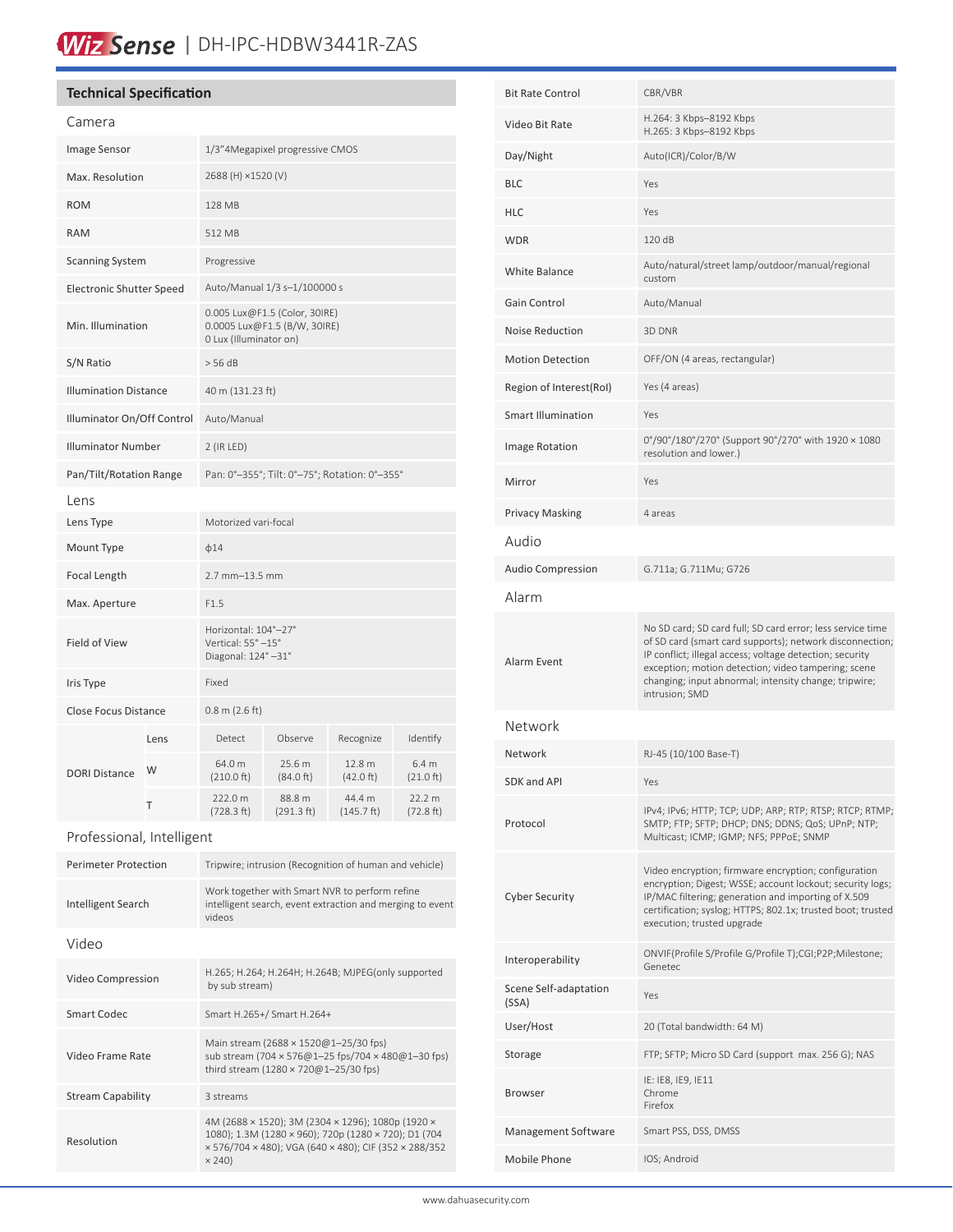# Wiz Sense | DH-IPC-HDBW3441R-ZAS

### **Technical Specification**

| Camera                          |      |                                                                                         |                      |                                |                     |
|---------------------------------|------|-----------------------------------------------------------------------------------------|----------------------|--------------------------------|---------------------|
| Image Sensor                    |      | 1/3"4Megapixel progressive CMOS                                                         |                      |                                |                     |
| Max. Resolution                 |      | 2688 (H) ×1520 (V)                                                                      |                      |                                |                     |
| <b>ROM</b>                      |      | 128 MB                                                                                  |                      |                                |                     |
| <b>RAM</b>                      |      | 512 MB                                                                                  |                      |                                |                     |
| <b>Scanning System</b>          |      | Progressive                                                                             |                      |                                |                     |
| <b>Electronic Shutter Speed</b> |      | Auto/Manual 1/3 s-1/100000 s                                                            |                      |                                |                     |
| Min. Illumination               |      | 0.005 Lux@F1.5 (Color, 30IRE)<br>0.0005 Lux@F1.5 (B/W, 30IRE)<br>0 Lux (Illuminator on) |                      |                                |                     |
| S/N Ratio                       |      | $>$ 56 dB                                                                               |                      |                                |                     |
| <b>Illumination Distance</b>    |      | 40 m (131.23 ft)                                                                        |                      |                                |                     |
| Illuminator On/Off Control      |      | Auto/Manual                                                                             |                      |                                |                     |
| <b>Illuminator Number</b>       |      | 2 (IR LED)                                                                              |                      |                                |                     |
| Pan/Tilt/Rotation Range         |      | Pan: 0°-355°; Tilt: 0°-75°; Rotation: 0°-355°                                           |                      |                                |                     |
| Lens                            |      |                                                                                         |                      |                                |                     |
| Lens Type                       |      | Motorized vari-focal                                                                    |                      |                                |                     |
| Mount Type                      |      | $\phi$ 14                                                                               |                      |                                |                     |
| Focal Length                    |      | 2.7 mm-13.5 mm                                                                          |                      |                                |                     |
| Max. Aperture                   |      | F1.5                                                                                    |                      |                                |                     |
| Field of View                   |      | Horizontal: 104°-27°<br>Vertical: 55° -15°<br>Diagonal: 124°-31°                        |                      |                                |                     |
| Iris Type                       |      | Fixed                                                                                   |                      |                                |                     |
| Close Focus Distance            |      | $0.8$ m (2.6 ft)                                                                        |                      |                                |                     |
|                                 | Lens | Detect                                                                                  | Observe              | Recognize                      | Identify            |
| <b>DORI Distance</b>            | W    | 64.0 m<br>(210.0 ft)                                                                    | 25.6 m<br>(84.0 ft)  | 12.8 <sub>m</sub><br>(42.0 ft) | 6.4 m<br>(21.0 ft)  |
|                                 | T    | 222.0 m<br>(728.3 ft)                                                                   | 88.8 m<br>(291.3 ft) | 44.4 m<br>(145.7 ft)           | 22.2 m<br>(72.8 ft) |
|                                 |      |                                                                                         |                      |                                |                     |

| Professional, Intelligent |  |
|---------------------------|--|
|                           |  |

| <b>Perimeter Protection</b> | Tripwire; intrusion (Recognition of human and vehicle)                                                                                                                              |  |  |
|-----------------------------|-------------------------------------------------------------------------------------------------------------------------------------------------------------------------------------|--|--|
| Intelligent Search          | Work together with Smart NVR to perform refine<br>intelligent search, event extraction and merging to event<br>videos                                                               |  |  |
| Video                       |                                                                                                                                                                                     |  |  |
| Video Compression           | H.265; H.264; H.264H; H.264B; MJPEG(only supported<br>by sub stream)                                                                                                                |  |  |
| Smart Codec                 | Smart H.265+/ Smart H.264+                                                                                                                                                          |  |  |
| Video Frame Rate            | Main stream (2688 × 1520@1-25/30 fps)<br>sub stream (704 × 576@1-25 fps/704 × 480@1-30 fps)<br>third stream (1280 × 720@1-25/30 fps)                                                |  |  |
| <b>Stream Capability</b>    | 3 streams                                                                                                                                                                           |  |  |
| Resolution                  | 4M (2688 × 1520); 3M (2304 × 1296); 1080p (1920 ×<br>1080); 1.3M (1280 × 960); 720p (1280 × 720); D1 (704<br>x 576/704 x 480); VGA (640 x 480); CIF (352 x 288/352<br>$\times$ 240) |  |  |

| <b>Bit Rate Control</b>        | CBR/VBR                                                                                                                                                                                                                                                                                                              |  |
|--------------------------------|----------------------------------------------------------------------------------------------------------------------------------------------------------------------------------------------------------------------------------------------------------------------------------------------------------------------|--|
| Video Bit Rate                 | H.264: 3 Kbps-8192 Kbps<br>H.265: 3 Kbps-8192 Kbps                                                                                                                                                                                                                                                                   |  |
| Day/Night                      | Auto(ICR)/Color/B/W                                                                                                                                                                                                                                                                                                  |  |
| <b>BLC</b>                     | Yes                                                                                                                                                                                                                                                                                                                  |  |
| <b>HLC</b>                     | Yes                                                                                                                                                                                                                                                                                                                  |  |
| <b>WDR</b>                     | 120 dB                                                                                                                                                                                                                                                                                                               |  |
| <b>White Balance</b>           | Auto/natural/street lamp/outdoor/manual/regional<br>custom                                                                                                                                                                                                                                                           |  |
| Gain Control                   | Auto/Manual                                                                                                                                                                                                                                                                                                          |  |
| Noise Reduction                | 3D DNR                                                                                                                                                                                                                                                                                                               |  |
| <b>Motion Detection</b>        | OFF/ON (4 areas, rectangular)                                                                                                                                                                                                                                                                                        |  |
| Region of Interest(RoI)        | Yes (4 areas)                                                                                                                                                                                                                                                                                                        |  |
| <b>Smart Illumination</b>      | Yes                                                                                                                                                                                                                                                                                                                  |  |
| Image Rotation                 | 0°/90°/180°/270° (Support 90°/270° with 1920 × 1080<br>resolution and lower.)                                                                                                                                                                                                                                        |  |
| Mirror                         | Yes                                                                                                                                                                                                                                                                                                                  |  |
| <b>Privacy Masking</b>         | 4 areas                                                                                                                                                                                                                                                                                                              |  |
| Audio                          |                                                                                                                                                                                                                                                                                                                      |  |
| <b>Audio Compression</b>       | G.711a; G.711Mu; G726                                                                                                                                                                                                                                                                                                |  |
| Alarm                          |                                                                                                                                                                                                                                                                                                                      |  |
| Alarm Event                    | No SD card; SD card full; SD card error; less service time<br>of SD card (smart card supports); network disconnection;<br>IP conflict; illegal access; voltage detection; security<br>exception; motion detection; video tampering; scene<br>changing; input abnormal; intensity change; tripwire;<br>intrusion; SMD |  |
| Network                        |                                                                                                                                                                                                                                                                                                                      |  |
| Network                        | RJ-45 (10/100 Base-T)                                                                                                                                                                                                                                                                                                |  |
| SDK and API                    | Yes                                                                                                                                                                                                                                                                                                                  |  |
| Protocol                       | IPv4; IPv6; HTTP; TCP; UDP; ARP; RTP; RTSP; RTCP; RTMP;<br>SMTP; FTP; SFTP; DHCP; DNS; DDNS; QoS; UPnP; NTP;<br>Multicast; ICMP; IGMP; NFS; PPPoE; SNMP                                                                                                                                                              |  |
| <b>Cyber Security</b>          | Video encryption; firmware encryption; configuration<br>encryption; Digest; WSSE; account lockout; security logs;<br>IP/MAC filtering; generation and importing of X.509<br>certification; syslog; HTTPS; 802.1x; trusted boot; trusted<br>execution; trusted upgrade                                                |  |
| Interoperability               | ONVIF(Profile S/Profile G/Profile T);CGI;P2P;Milestone;<br>Genetec                                                                                                                                                                                                                                                   |  |
| Scene Self-adaptation<br>(SSA) | Yes                                                                                                                                                                                                                                                                                                                  |  |
| User/Host                      | 20 (Total bandwidth: 64 M)                                                                                                                                                                                                                                                                                           |  |
| Storage                        | FTP; SFTP; Micro SD Card (support max. 256 G); NAS                                                                                                                                                                                                                                                                   |  |
| Browser                        | IE: IE8, IE9, IE11<br>Chrome<br>Firefox                                                                                                                                                                                                                                                                              |  |
| Management Software            | Smart PSS, DSS, DMSS                                                                                                                                                                                                                                                                                                 |  |
| Mobile Phone                   | IOS; Android                                                                                                                                                                                                                                                                                                         |  |